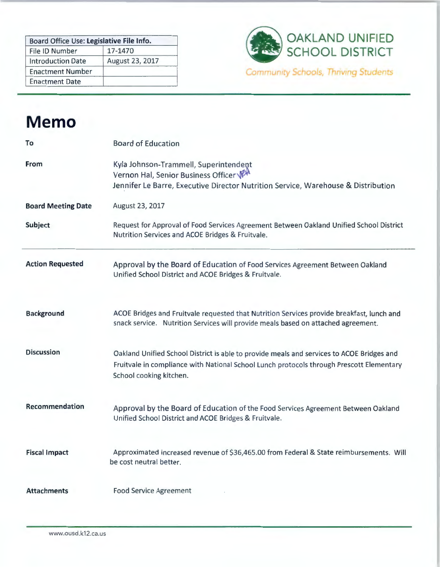| Board Office Use: Legislative File Info. |                 |  |
|------------------------------------------|-----------------|--|
| File ID Number                           | 17-1470         |  |
| <b>Introduction Date</b>                 | August 23, 2017 |  |
| <b>Enactment Number</b>                  |                 |  |
| <b>Enactment Date</b>                    |                 |  |



## **Memo**

| To                        | <b>Board of Education</b>                                                                                                                                                                                        |
|---------------------------|------------------------------------------------------------------------------------------------------------------------------------------------------------------------------------------------------------------|
| <b>From</b>               | Kyla Johnson-Trammell, Superintendent<br>Vernon Hal, Senior Business Officer<br>Jennifer Le Barre, Executive Director Nutrition Service, Warehouse & Distribution                                                |
| <b>Board Meeting Date</b> | August 23, 2017                                                                                                                                                                                                  |
| Subject                   | Request for Approval of Food Services Agreement Between Oakland Unified School District<br>Nutrition Services and ACOE Bridges & Fruitvale.                                                                      |
| <b>Action Requested</b>   | Approval by the Board of Education of Food Services Agreement Between Oakland<br>Unified School District and ACOE Bridges & Fruitvale.                                                                           |
| <b>Background</b>         | ACOE Bridges and Fruitvale requested that Nutrition Services provide breakfast, lunch and<br>snack service. Nutrition Services will provide meals based on attached agreement.                                   |
| <b>Discussion</b>         | Oakland Unified School District is able to provide meals and services to ACOE Bridges and<br>Fruitvale in compliance with National School Lunch protocols through Prescott Elementary<br>School cooking kitchen. |
| Recommendation            | Approval by the Board of Education of the Food Services Agreement Between Oakland<br>Unified School District and ACOE Bridges & Fruitvale.                                                                       |
| <b>Fiscal Impact</b>      | Approximated increased revenue of \$36,465.00 from Federal & State reimbursements. Will<br>be cost neutral better.                                                                                               |
| <b>Attachments</b>        | <b>Food Service Agreement</b>                                                                                                                                                                                    |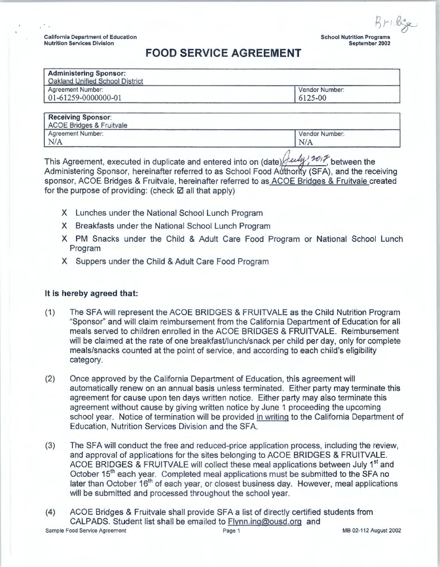B *1~,* tY---) **School Nutrition Programs September 2002** 

## **FOOD SERVICE AGREEMENT**

| Vendor Number:<br>6125-00 |
|---------------------------|
|                           |

| <b>Receiving Sponsor:</b><br>ACOE Bridges & Fruitvale |                |  |
|-------------------------------------------------------|----------------|--|
| Agreement Number:                                     | Vendor Number: |  |
| N/A                                                   | N/A            |  |
|                                                       |                |  |

This Agreement, executed in duplicate and entered into on (date)  $\frac{\partial u}{\partial y}$ ,  $\frac{\partial v}{\partial z}$  between the Administering Sponsor, hereinafter referred to as School Food Authority (SFA), and the receiving sponsor, ACOE Bridges & Fruitvale, hereinafter referred to as ACOE Bridges & Fruitvale created for the purpose of providing: (check  $\boxtimes$  all that apply)

- X Lunches under the National School Lunch Program
- X Breakfasts under the National School Lunch Program
- X PM Snacks under the Child & Adult Care Food Program or National School Lunch Program
- X Suppers under the Child & Adult Care Food Program

## **It is hereby agreed that:**

- (1) The SFA will represent the ACOE BRIDGES & FRUITVALE as the Child Nutrition Program "Sponsor" and will claim reimbursement from the California Department of Education for all meals served to children enrolled in the ACOE BRIDGES & FRUITVALE. Reimbursement will be claimed at the rate of one breakfast/lunch/snack per child per day, only for complete meals/snacks counted at the point of service, and according to each child's eligibility category.
- (2) Once approved by the California Department of Education, this agreement will automatically renew on an annual basis unless terminated. Either party may terminate this agreement for cause upon ten days written notice. Either party may also terminate this agreement without cause by giving written notice by June 1 proceeding the upcoming school year. Notice of termination will be provided in writing to the California Department of Education, Nutrition Services Division and the SFA.
- (3) The SFA will conduct the free and reduced-price application process, including the review, and approval of applications for the sites belonging to ACOE BRIDGES & FRUITVALE. ACOE BRIDGES & FRUITVALE will collect these meal applications between July 1<sup>st</sup> and October 15<sup>th</sup> each year. Completed meal applications must be submitted to the SFA no later than October 16<sup>th</sup> of each year, or closest business day. However, meal applications will be submitted and processed throughout the school year.
- (4) ACOE Bridges & Fruitvale shall provide SFA a list of directly certified students from CALPADS. Student list shall be emailed to Flynn.ing@ousd.org and Sample Food Service Agreement Page 1 MB 02-112 August 2002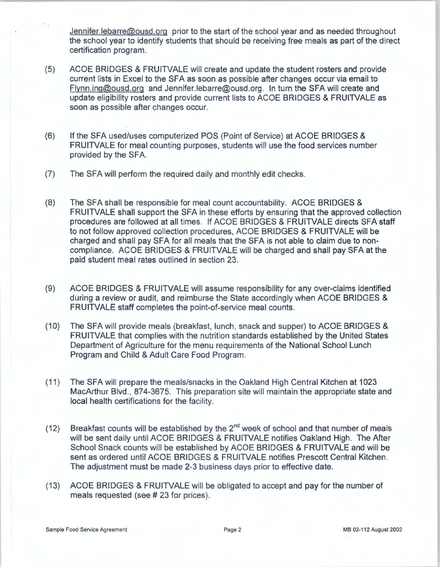Jennifer.lebarre@ousd.org prior to the start of the school year and as needed throughout the school year to identify students that should be receiving free meals as part of the direct certification program.

- (5) ACOE BRIDGES & FRUITVALE will create and update the student rosters and provide current lists in Excel to the SFA as soon as possible after changes occur via email to Flynn.ing@ousd.org and Jennifer.lebarre@ousd.org. In turn the SFA will create and update eligibility rosters and provide current lists to ACOE BRIDGES & FRUITVALE as soon as possible after changes occur.
- (6) If the SFA used/uses computerized POS (Point of Service) at ACOE BRIDGES & FRUITVALE for meal counting purposes, students will use the food services number provided by the SFA.
- (7) The SFA will perform the required daily and monthly edit checks .
- (8) The SFA shall be responsible for meal count accountability. ACOE BRIDGES & FRUITVALE shall support the SFA in these efforts by ensuring that the approved collection procedures are followed at all times. If ACOE BRIDGES & FRUITVALE directs SFA staff to not follow approved collection procedures, ACOE BRIDGES & FRUITVALE will be charged and shall pay SFA for all meals that the SFA is not able to claim due to noncompliance. ACOE BRIDGES & FRUITVALE will be charged and shall pay SFA at the paid student meal rates outlined in section 23.
- (9) ACOE BRIDGES & FRUITVALE will assume responsibility for any over-claims identified during a review or audit, and reimburse the State accordingly when ACOE BRIDGES & FRUITVALE staff completes the point-of-service meal counts.
- (10) The SFA will provide meals (breakfast, lunch, snack and supper) to ACOE BRIDGES & FRUITVALE that complies with the nutrition standards established by the United States Department of Agriculture for the menu requirements of the National School Lunch Program and Child & Adult Care Food Program.
- (11) The SFA will prepare the meals/snacks in the Oakland High Central Kitchen at 1023 MacArthur Blvd. , 874-3675. This preparation site will maintain the appropriate state and local health certifications for the facility.
- (12) Breakfast counts will be established by the  $2^{nd}$  week of school and that number of meals will be sent daily until ACOE BRIDGES & FRUITVALE notifies Oakland High. The After School Snack counts will be established by ACOE BRIDGES & FRUITVALE and will be sent as ordered until ACOE BRIDGES & FRUITVALE notifies Prescott Central Kitchen. The adjustment must be made 2-3 business days prior to effective date.
- (13) ACOE BRIDGES & FRUITVALE will be obligated to accept and pay for the number of meals requested (see # 23 for prices).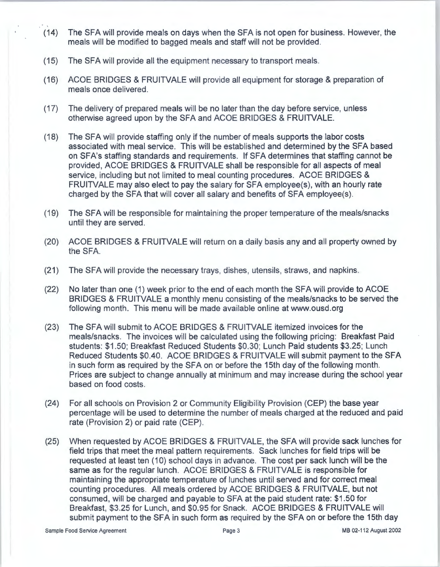- (14) The SFA will provide meals on days when the SFA is not open for business. However, the meals will be modified to bagged meals and staff will not be provided .
- (15) The SFA will provide all the equipment necessary to transport meals.
- (16) ACOE BRIDGES & FRUITVALE will provide all equipment for storage & preparation of meals once delivered.
- (17) The delivery of prepared meals will be no later than the day before service, unless otherwise agreed upon by the SFA and ACOE BRIDGES & FRUITVALE.
- (18) The SFA will provide staffing only if the number of meals supports the labor costs associated with meal service. This will be established and determined by the SFA based on SFA's staffing standards and requirements. If SFA determines that staffing cannot be provided, ACOE BRIDGES & FRUITVALE shall be responsible for all aspects of meal service, including but not limited to meal counting procedures. ACOE BRIDGES & FRUITVALE may also elect to pay the salary for SFA employee(s), with an hourly rate charged by the SFA that will cover all salary and benefits of SFA employee(s).
- (19) The SFA will be responsible for maintaining the proper temperature of the meals/snacks until they are served.
- (20) ACOE BRIDGES & FRUITVALE will return on a daily basis any and all property owned by the SFA.
- (21) The SFA will provide the necessary trays, dishes, utensils, straws, and napkins.
- (22) No later than one (1) week prior to the end of each month the SFA will provide to ACOE BRIDGES & FRUITVALE a monthly menu consisting of the meals/snacks to be served the following month. This menu will be made available online at www.ousd .org
- (23) The SFA will submit to ACOE BRIDGES & FRUITVALE itemized invoices for the meals/snacks. The invoices will be calculated using the following pricing: Breakfast Paid students: \$1 .50; Breakfast Reduced Students \$0.30; Lunch Paid students \$3.25; Lunch Reduced Students \$0.40. ACOE BRIDGES & FRUITVALE will submit payment to the SFA in such form as required by the SFA on or before the 15th day of the following month. Prices are subject to change annually at minimum and may increase during the school year based on food costs.
- (24) For all schools on Provision 2 or Community Eligibility Provision (CEP) the base year percentage will be used to determine the number of meals charged at the reduced and paid rate (Provision 2) or paid rate (CEP).
- (25) When requested by ACOE BRIDGES & FRUITVALE, the SFA will provide sack lunches for field trips that meet the meal pattern requirements. Sack lunches for field trips will be requested at least ten (10) school days in advance. The cost per sack lunch will be the same as for the regular lunch. ACOE BRIDGES & FRUITVALE is responsible for maintaining the appropriate temperature of lunches until served and for correct meal counting procedures. All meals ordered by ACOE BRIDGES & FRUITVALE, but not consumed, will be charged and payable to SFA at the paid student rate: \$1 .50 for Breakfast, \$3.25 for Lunch, and \$0.95 for Snack. ACOE BRIDGES & FRUITVALE will submit payment to the SFA in such form as required by the SFA on or before the 15th day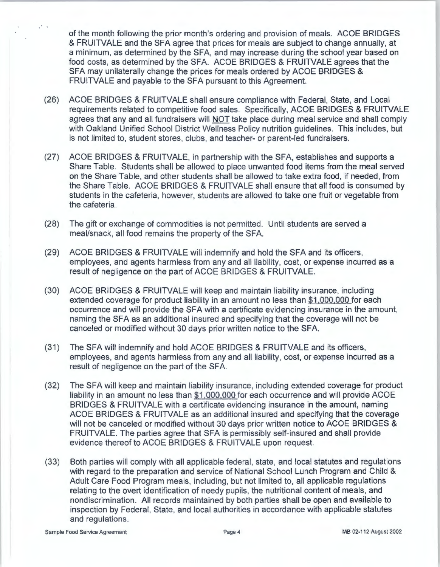of the month following the prior month's ordering and provision of meals. ACOE BRIDGES & FRUITVALE and the SFA agree that prices for meals are subject to change annually, at a minimum, as determined by the SFA, and may increase during the school year based on food costs, as determined by the SFA. ACOE BRIDGES & FRUITVALE agrees that the SFA may unilaterally change the prices for meals ordered by ACOE BRIDGES & FRUITVALE and payable to the SFA pursuant to this Agreement.

- (26) ACOE BRIDGES & FRUITVALE shall ensure compliance with Federal, State, and Local requirements related to competitive food sales. Specifically, ACOE BRIDGES & FRUITVALE agrees that any and all fundraisers will NOT take place during meal service and shall comply with Oakland Unified School District Wellness Policy nutrition guidelines. This includes, but is not limited to, student stores, clubs , and teacher- or parent-led fundraisers.
- (27) ACOE BRIDGES & FRUITVALE, in partnership with the SFA, establishes and supports a Share Table. Students shall be allowed to place unwanted food items from the meal served on the Share Table, and other students shall be allowed to take extra food, if needed, from the Share Table. ACOE BRIDGES & FRUITVALE shall ensure that all food is consumed by students in the cafeteria, however, students are allowed to take one fruit or vegetable from the cafeteria .
- (28) The gift or exchange of commodities is not permitted. Until students are served a meal/snack, all food remains the property of the SFA.
- (29) ACOE BRIDGES & FRUITVALE will indemnify and hold the SFA and its officers, employees, and agents harmless from any and all liability, cost, or expense incurred as a result of negligence on the part of ACOE BRIDGES & FRUITVALE.
- (30) ACOE BRIDGES & FRUITVALE will keep and maintain liability insurance, including extended coverage for product liability in an amount no less than \$1,000.000 for each occurrence and will provide the SFA with a certificate evidencing insurance in the amount, naming the SFA as an additional insured and specifying that the coverage will not be canceled or modified without 30 days prior written notice to the SFA.
- (31) The SFA will indemnify and hold ACOE BRIDGES & FRUITVALE and its officers, employees, and agents harmless from any and all liability, cost, or expense incurred as a result of negligence on the part of the SFA.
- (32) The SFA will keep and maintain liability insurance, including extended coverage for product liability in an amount no less than \$1,000,000 for each occurrence and will provide ACOE BRIDGES & FRUITVALE with a certificate evidencing insurance in the amount, naming ACOE BRIDGES & FRUITVALE as an additional insured and specifying that the coverage will not be canceled or modified without 30 days prior written notice to ACOE BRIDGES & FRUITVALE. The parties agree that SFA is permissibly self-insured and shall provide evidence thereof to ACOE BRIDGES & FRUITVALE upon request.
- (33) Both parties will comply with all applicable federal, state, and local statutes and regulations with regard to the preparation and service of National School Lunch Program and Child & Adult Care Food Program meals, including, but not limited to, all applicable regulations relating to the overt identification of needy pupils, the nutritional content of meals, and nondiscrimination. All records maintained by both parties shall be open and available to inspection by Federal, State, and local authorities in accordance with applicable statutes and regulations.